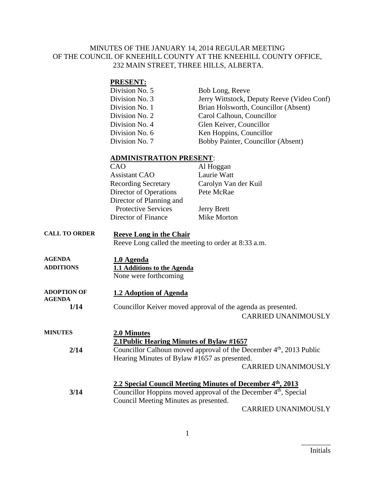#### MINUTES OF THE JANUARY 14, 2014 REGULAR MEETING OF THE COUNCIL OF KNEEHILL COUNTY AT THE KNEEHILL COUNTY OFFICE, 232 MAIN STREET, THREE HILLS, ALBERTA.

| <b>PRESENT:</b> |                                            |
|-----------------|--------------------------------------------|
| Division No. 5  | Bob Long, Reeve                            |
| Division No. 3  | Jerry Wittstock, Deputy Reeve (Video Conf) |
| Division No. 1  | Brian Holsworth, Councillor (Absent)       |
| Division No. 2  | Carol Calhoun, Councillor                  |
| Division No. 4  | Glen Keiver, Councillor                    |
| Division No. 6  | Ken Hoppins, Councillor                    |
| Division No. 7  | Bobby Painter, Councillor (Absent)         |
|                 |                                            |

#### **ADMINISTRATION PRESENT**:

| CAO                        | Al Hoggan            |
|----------------------------|----------------------|
| <b>Assistant CAO</b>       | Laurie Watt          |
| <b>Recording Secretary</b> | Carolyn Van der Kuil |
| Director of Operations     | Pete McRae           |
| Director of Planning and   |                      |
| <b>Protective Services</b> | <b>Jerry Brett</b>   |
| Director of Finance        | Mike Morton          |

# **CALL TO ORDER Reeve Long in the Chair**

Reeve Long called the meeting to order at 8:33 a.m.

- **AGENDA 1.0 Agenda ADDITIONS 1.1 Additions to the Agenda** None were forthcoming
- **ADOPTION OF AGENDA 1.2 Adoption of Agenda**
	- **1/14** Councillor Keiver moved approval of the agenda as presented.

CARRIED UNANIMOUSLY

| <b>MINUTES</b> | 2.0 Minutes                                                                     |
|----------------|---------------------------------------------------------------------------------|
|                | 2.1 Public Hearing Minutes of Bylaw #1657                                       |
| 2/14           | Councillor Calhoun moved approval of the December 4 <sup>th</sup> , 2013 Public |
|                | Hearing Minutes of Bylaw #1657 as presented.                                    |
|                | <b>CARRIED UNANIMOUSLY</b>                                                      |
|                | 2.2 Special Council Meeting Minutes of December 4th, 2013                       |
| 3/14           | Councillor Hoppins moved approval of the December $4th$ , Special               |
|                | Council Meeting Minutes as presented.                                           |
|                | $\alpha$ in principal interest.                                                 |

CARRIED UNANIMOUSLY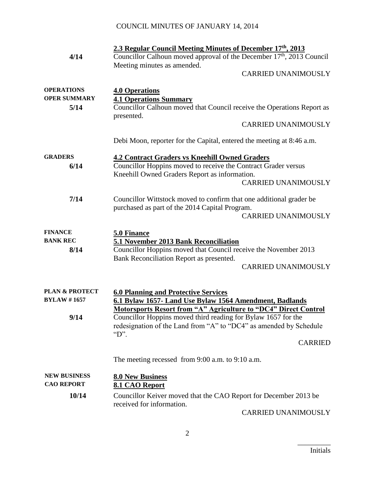|                           | 2.3 Regular Council Meeting Minutes of December 17th, 2013                                              |
|---------------------------|---------------------------------------------------------------------------------------------------------|
| 4/14                      | Councillor Calhoun moved approval of the December 17 <sup>th</sup> , 2013 Council                       |
|                           | Meeting minutes as amended.                                                                             |
|                           | <b>CARRIED UNANIMOUSLY</b>                                                                              |
| <b>OPERATIONS</b>         |                                                                                                         |
| <b>OPER SUMMARY</b>       | <b>4.0 Operations</b>                                                                                   |
| 5/14                      | <b>4.1 Operations Summary</b><br>Councillor Calhoun moved that Council receive the Operations Report as |
|                           | presented.                                                                                              |
|                           | <b>CARRIED UNANIMOUSLY</b>                                                                              |
|                           | Debi Moon, reporter for the Capital, entered the meeting at 8:46 a.m.                                   |
| <b>GRADERS</b>            | <b>4.2 Contract Graders vs Kneehill Owned Graders</b>                                                   |
| 6/14                      | Councillor Hoppins moved to receive the Contract Grader versus                                          |
|                           | Kneehill Owned Graders Report as information.                                                           |
|                           | <b>CARRIED UNANIMOUSLY</b>                                                                              |
| 7/14                      | Councillor Wittstock moved to confirm that one additional grader be                                     |
|                           | purchased as part of the 2014 Capital Program.                                                          |
|                           | <b>CARRIED UNANIMOUSLY</b>                                                                              |
|                           |                                                                                                         |
| <b>FINANCE</b>            | 5.0 Finance                                                                                             |
| <b>BANK REC</b>           | 5.1 November 2013 Bank Reconciliation                                                                   |
| 8/14                      | Councillor Hoppins moved that Council receive the November 2013                                         |
|                           | Bank Reconciliation Report as presented.                                                                |
|                           | <b>CARRIED UNANIMOUSLY</b>                                                                              |
| <b>PLAN &amp; PROTECT</b> | <b>6.0 Planning and Protective Services</b>                                                             |
| <b>BYLAW #1657</b>        | 6.1 Bylaw 1657- Land Use Bylaw 1564 Amendment, Badlands                                                 |
|                           | <b>Motorsports Resort from "A" Agriculture to "DC4" Direct Control</b>                                  |
| 9/14                      | Councillor Hoppins moved third reading for Bylaw 1657 for the                                           |
|                           | redesignation of the Land from "A" to "DC4" as amended by Schedule                                      |
|                           | $\mathrm{``D~''}.$                                                                                      |
|                           | <b>CARRIED</b>                                                                                          |
|                           | The meeting recessed from $9:00$ a.m. to $9:10$ a.m.                                                    |
| <b>NEW BUSINESS</b>       | <b>8.0 New Business</b>                                                                                 |
| <b>CAO REPORT</b>         | 8.1 CAO Report                                                                                          |
| 10/14                     | Councillor Keiver moved that the CAO Report for December 2013 be                                        |
|                           | received for information.                                                                               |
|                           | <b>CARRIED UNANIMOUSLY</b>                                                                              |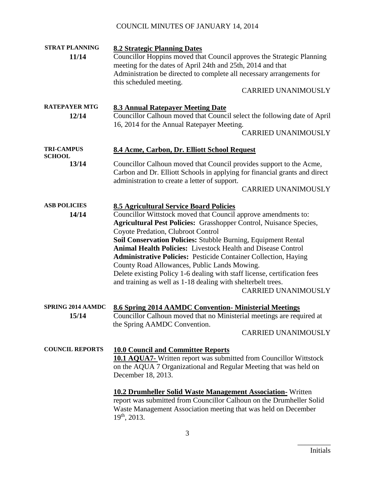| <b>STRAT PLANNING</b>              | <b>8.2 Strategic Planning Dates</b>                                                                                                                                                                                                                                                                                                                                                                                                                                                                                                                                                                                                                                              |  |
|------------------------------------|----------------------------------------------------------------------------------------------------------------------------------------------------------------------------------------------------------------------------------------------------------------------------------------------------------------------------------------------------------------------------------------------------------------------------------------------------------------------------------------------------------------------------------------------------------------------------------------------------------------------------------------------------------------------------------|--|
| 11/14                              | Councillor Hoppins moved that Council approves the Strategic Planning<br>meeting for the dates of April 24th and 25th, 2014 and that<br>Administration be directed to complete all necessary arrangements for<br>this scheduled meeting.                                                                                                                                                                                                                                                                                                                                                                                                                                         |  |
|                                    | <b>CARRIED UNANIMOUSLY</b>                                                                                                                                                                                                                                                                                                                                                                                                                                                                                                                                                                                                                                                       |  |
| <b>RATEPAYER MTG</b><br>12/14      | <b>8.3 Annual Ratepayer Meeting Date</b><br>Councillor Calhoun moved that Council select the following date of April<br>16, 2014 for the Annual Ratepayer Meeting.<br><b>CARRIED UNANIMOUSLY</b>                                                                                                                                                                                                                                                                                                                                                                                                                                                                                 |  |
| <b>TRI-CAMPUS</b><br><b>SCHOOL</b> | 8.4 Acme, Carbon, Dr. Elliott School Request                                                                                                                                                                                                                                                                                                                                                                                                                                                                                                                                                                                                                                     |  |
| 13/14                              | Councillor Calhoun moved that Council provides support to the Acme,<br>Carbon and Dr. Elliott Schools in applying for financial grants and direct<br>administration to create a letter of support.<br><b>CARRIED UNANIMOUSLY</b>                                                                                                                                                                                                                                                                                                                                                                                                                                                 |  |
| <b>ASB POLICIES</b><br>14/14       | <b>8.5 Agricultural Service Board Policies</b><br>Councillor Wittstock moved that Council approve amendments to:<br><b>Agricultural Pest Policies: Grasshopper Control, Nuisance Species,</b><br>Coyote Predation, Clubroot Control<br>Soil Conservation Policies: Stubble Burning, Equipment Rental<br><b>Animal Health Policies:</b> Livestock Health and Disease Control<br><b>Administrative Policies: Pesticide Container Collection, Haying</b><br>County Road Allowances, Public Lands Mowing.<br>Delete existing Policy 1-6 dealing with staff license, certification fees<br>and training as well as 1-18 dealing with shelterbelt trees.<br><b>CARRIED UNANIMOUSLY</b> |  |
| <b>SPRING 2014 AAMDC</b><br>15/14  | <b>8.6 Spring 2014 AAMDC Convention-Ministerial Meetings</b><br>Councillor Calhoun moved that no Ministerial meetings are required at<br>the Spring AAMDC Convention.<br><b>CARRIED UNANIMOUSLY</b>                                                                                                                                                                                                                                                                                                                                                                                                                                                                              |  |
| <b>COUNCIL REPORTS</b>             | <b>10.0 Council and Committee Reports</b><br><b>10.1 AQUA7-</b> Written report was submitted from Councillor Wittstock<br>on the AQUA 7 Organizational and Regular Meeting that was held on<br>December 18, 2013.                                                                                                                                                                                                                                                                                                                                                                                                                                                                |  |
|                                    | <b>10.2 Drumheller Solid Waste Management Association-</b> Written<br>report was submitted from Councillor Calhoun on the Drumheller Solid<br>Waste Management Association meeting that was held on December<br>$19th$ , 2013.                                                                                                                                                                                                                                                                                                                                                                                                                                                   |  |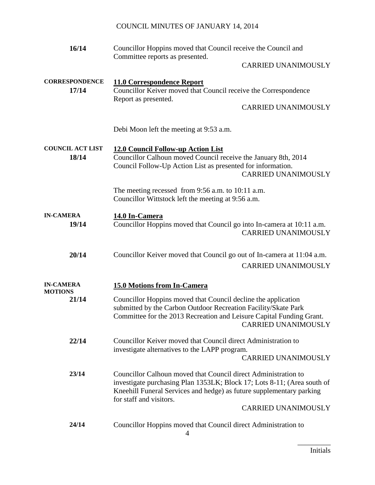| 16/14                            | Councillor Hoppins moved that Council receive the Council and<br>Committee reports as presented.                                                                                                                                             |
|----------------------------------|----------------------------------------------------------------------------------------------------------------------------------------------------------------------------------------------------------------------------------------------|
|                                  | <b>CARRIED UNANIMOUSLY</b>                                                                                                                                                                                                                   |
| <b>CORRESPONDENCE</b><br>17/14   | <b>11.0 Correspondence Report</b><br>Councillor Keiver moved that Council receive the Correspondence<br>Report as presented.<br><b>CARRIED UNANIMOUSLY</b>                                                                                   |
|                                  | Debi Moon left the meeting at 9:53 a.m.                                                                                                                                                                                                      |
| <b>COUNCIL ACT LIST</b><br>18/14 | <b>12.0 Council Follow-up Action List</b><br>Councillor Calhoun moved Council receive the January 8th, 2014<br>Council Follow-Up Action List as presented for information.<br><b>CARRIED UNANIMOUSLY</b>                                     |
|                                  | The meeting recessed from 9:56 a.m. to 10:11 a.m.<br>Councillor Wittstock left the meeting at 9:56 a.m.                                                                                                                                      |
| <b>IN-CAMERA</b><br>19/14        | 14.0 In-Camera<br>Councillor Hoppins moved that Council go into In-camera at 10:11 a.m.<br><b>CARRIED UNANIMOUSLY</b>                                                                                                                        |
| 20/14                            | Councillor Keiver moved that Council go out of In-camera at 11:04 a.m.<br><b>CARRIED UNANIMOUSLY</b>                                                                                                                                         |
| <b>IN-CAMERA</b>                 | 15.0 Motions from In-Camera                                                                                                                                                                                                                  |
| <b>MOTIONS</b><br>21/14          | Councillor Hoppins moved that Council decline the application<br>submitted by the Carbon Outdoor Recreation Facility/Skate Park<br>Committee for the 2013 Recreation and Leisure Capital Funding Grant.<br><b>CARRIED UNANIMOUSLY</b>        |
| 22/14                            | Councillor Keiver moved that Council direct Administration to<br>investigate alternatives to the LAPP program.<br><b>CARRIED UNANIMOUSLY</b>                                                                                                 |
| 23/14                            | Councillor Calhoun moved that Council direct Administration to<br>investigate purchasing Plan 1353LK; Block 17; Lots 8-11; (Area south of<br>Kneehill Funeral Services and hedge) as future supplementary parking<br>for staff and visitors. |
|                                  | <b>CARRIED UNANIMOUSLY</b>                                                                                                                                                                                                                   |
| 24/14                            | Councillor Hoppins moved that Council direct Administration to                                                                                                                                                                               |